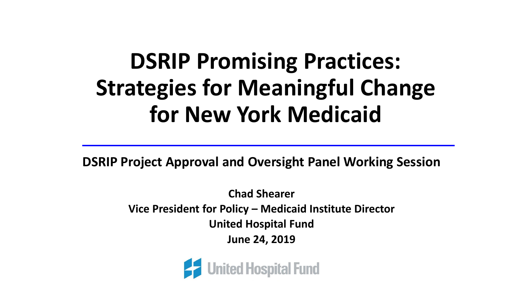# **DSRIP Promising Practices: Strategies for Meaningful Change for New York Medicaid**

**DSRIP Project Approval and Oversight Panel Working Session**

**Chad Shearer Vice President for Policy – Medicaid Institute Director United Hospital Fund June 24, 2019**

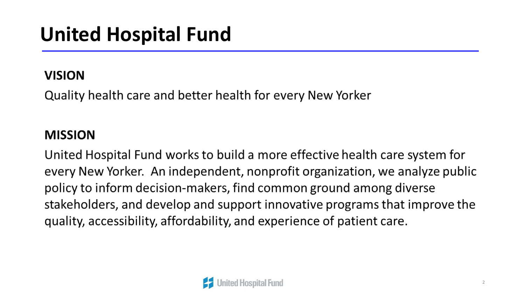# **United Hospital Fund**

#### **VISION**

Quality health care and better health for every New Yorker

#### **MISSION**

United Hospital Fund works to build a more effective health care system for every New Yorker. An independent, nonprofit organization, we analyze public policy to inform decision-makers, find common ground among diverse stakeholders, and develop and support innovative programs that improve the quality, accessibility, affordability, and experience of patient care.

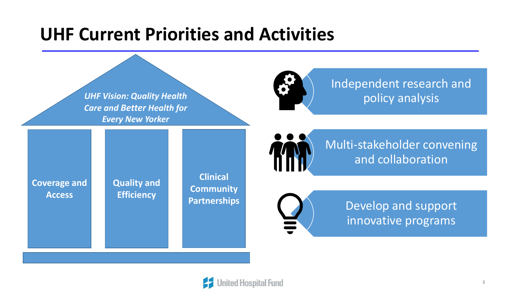### **UHF Current Priorities and Activities**



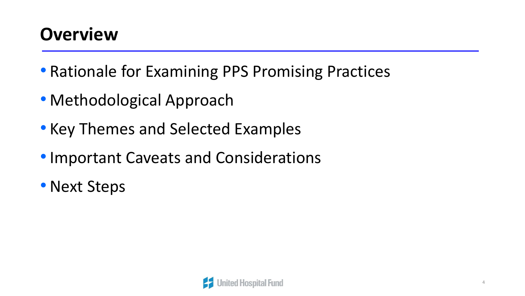## **Overview**

- Rationale for Examining PPS Promising Practices
- Methodological Approach
- Key Themes and Selected Examples
- •Important Caveats and Considerations
- Next Steps

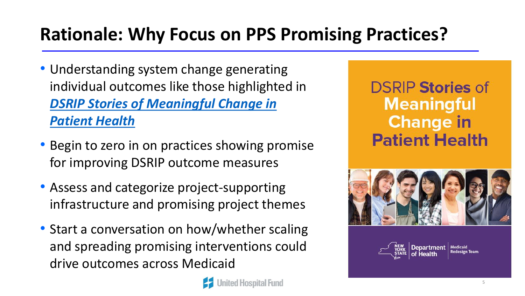## **Rationale: Why Focus on PPS Promising Practices?**

- Understanding system change generating individual outcomes like those highlighted in *[DSRIP Stories of Meaningful Change in](https://www.health.ny.gov/health_care/medicaid/redesign/dsrip/2019/docs/stories.pdf) Patient Health*
- Begin to zero in on practices showing promise for improving DSRIP outcome measures
- Assess and categorize project-supporting infrastructure and promising project themes
- Start a conversation on how/whether scaling and spreading promising interventions could drive outcomes across Medicaid

ed Hospital Fund

**DSRIP Stories of Meaningful Change in Patient Health** 



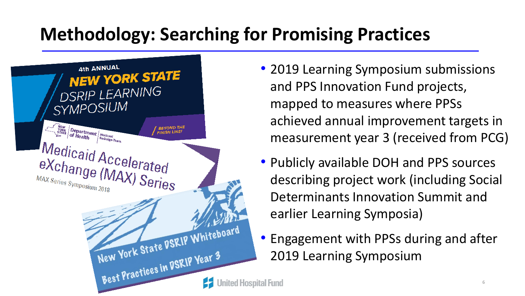## **Methodology: Searching for Promising Practices**



- 2019 Learning Symposium submissions and PPS Innovation Fund projects, mapped to measures where PPSs achieved annual improvement targets in measurement year 3 (received from PCG)
- Publicly available DOH and PPS sources describing project work (including Social Determinants Innovation Summit and earlier Learning Symposia)
- Engagement with PPSs during and after 2019 Learning Symposium

6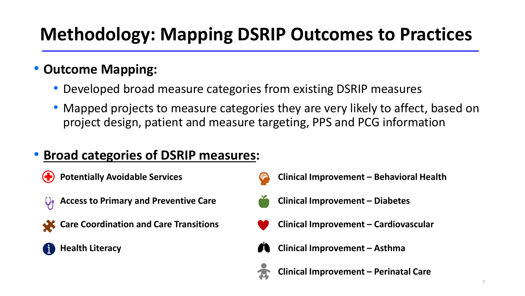## **Methodology: Mapping DSRIP Outcomes to Practices**

### • **Outcome Mapping:**

- Developed broad measure categories from existing DSRIP measures
- Mapped projects to measure categories they are very likely to affect, based on project design, patient and measure targeting, PPS and PCG information

### • **Broad categories of DSRIP measures:**

- **Potentially Avoidable Services**
- **Access to Primary and Preventive Care**   $\bigcup_{\mathsf{P}}$





- **Clinical Improvement – Behavioral Health**
- 
- **Clinical Improvement – Diabetes**
- **Clinical Improvement – Cardiovascular**
- **Clinical Improvement – Asthma**



**Clinical Improvement – Perinatal Care**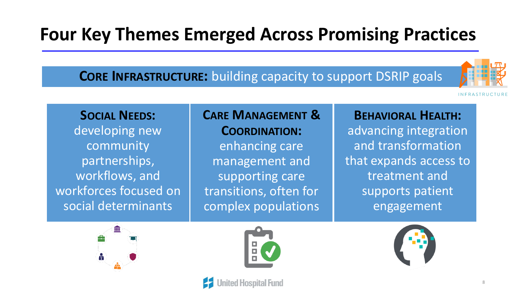## **Four Key Themes Emerged Across Promising Practices**

#### **CORE INFRASTRUCTURE:** building capacity to support DSRIP goals



**INFRASTRUCTURE** 

#### **SOCIAL NEEDS:**

developing new community partnerships, workflows, and workforces focused on social determinants

#### **CARE MANAGEMENT & COORDINATION:** enhancing care management and supporting care transitions, often for complex populations

#### **BEHAVIORAL HEALTH:**

advancing integration and transformation that expands access to treatment and supports patient engagement





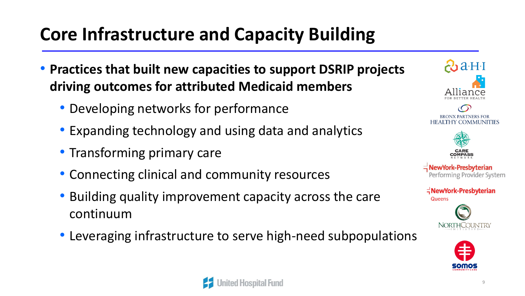## **Core Infrastructure and Capacity Building**

- **Practices that built new capacities to support DSRIP projects driving outcomes for attributed Medicaid members**
	- Developing networks for performance
	- Expanding technology and using data and analytics
	- Transforming primary care
	- Connecting clinical and community resources
	- Building quality improvement capacity across the care continuum
	- Leveraging infrastructure to serve high-need subpopulations





**BRONX PARTNERS FOR HEALTHY COMMUNITIES** 



**NewYork-Presbyterian** Performing Provider System





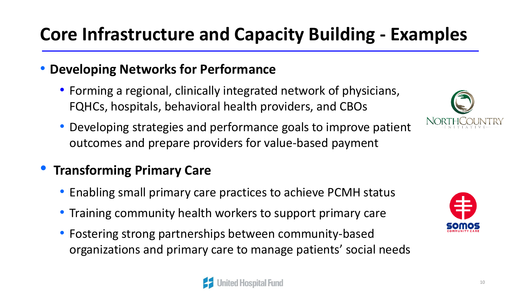## **Core Infrastructure and Capacity Building - Examples**

#### • **Developing Networks for Performance**

- Forming a regional, clinically integrated network of physicians, FQHCs, hospitals, behavioral health providers, and CBOs
- Developing strategies and performance goals to improve patient outcomes and prepare providers for value-based payment

### • **Transforming Primary Care**

- Enabling small primary care practices to achieve PCMH status
- Training community health workers to support primary care
- Fostering strong partnerships between community-based organizations and primary care to manage patients' social needs





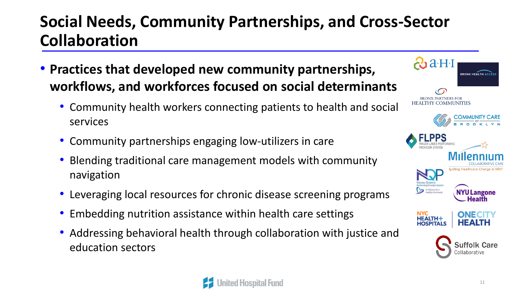### **Social Needs, Community Partnerships, and Cross-Sector Collaboration**

- **Practices that developed new community partnerships, workflows, and workforces focused on social determinants**
	- Community health workers connecting patients to health and social services
	- Community partnerships engaging low-utilizers in care
	- Blending traditional care management models with community navigation
	- Leveraging local resources for chronic disease screening programs
	- Embedding nutrition assistance within health care settings
	- Addressing behavioral health through collaboration with justice and education sectors



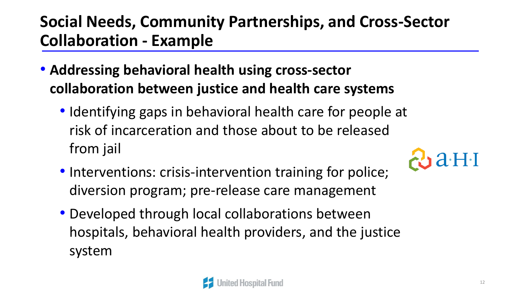### **Social Needs, Community Partnerships, and Cross-Sector Collaboration - Example**

- **Addressing behavioral health using cross-sector collaboration between justice and health care systems**
	- Identifying gaps in behavioral health care for people at risk of incarceration and those about to be released from jail



- Interventions: crisis-intervention training for police; diversion program; pre-release care management
- Developed through local collaborations between hospitals, behavioral health providers, and the justice system

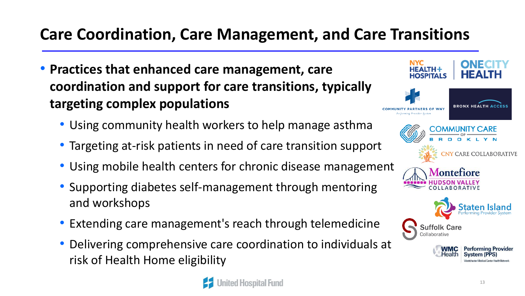### **Care Coordination, Care Management, and Care Transitions**

- **Practices that enhanced care management, care coordination and support for care transitions, typically targeting complex populations**
	- Using community health workers to help manage asthma
	- Targeting at-risk patients in need of care transition support
	- Using mobile health centers for chronic disease management
	- Supporting diabetes self-management through mentoring and workshops
	- Extending care management's reach through telemedicine
	- Delivering comprehensive care coordination to individuals at risk of Health Home eligibility



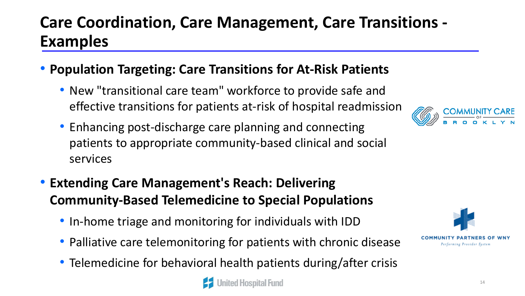### **Care Coordination, Care Management, Care Transitions - Examples**

#### • **Population Targeting: Care Transitions for At-Risk Patients**

- New "transitional care team" workforce to provide safe and effective transitions for patients at-risk of hospital readmission
- Enhancing post-discharge care planning and connecting patients to appropriate community-based clinical and social services
- **Extending Care Management's Reach: Delivering Community-Based Telemedicine to Special Populations**
	- In-home triage and monitoring for individuals with IDD
	- Palliative care telemonitoring for patients with chronic disease
	- Telemedicine for behavioral health patients during/after crisis





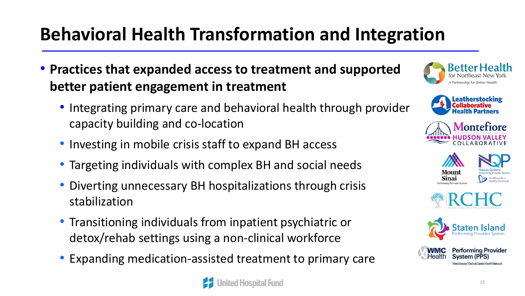## **Behavioral Health Transformation and Integration**

- **Practices that expanded access to treatment and supported better patient engagement in treatment**
	- Integrating primary care and behavioral health through provider capacity building and co-location
	- Investing in mobile crisis staff to expand BH access
	- Targeting individuals with complex BH and social needs
	- Diverting unnecessary BH hospitalizations through crisis stabilization
	- Transitioning individuals from inpatient psychiatric or detox/rehab settings using a non-clinical workforce
	- Expanding medication-assisted treatment to primary care















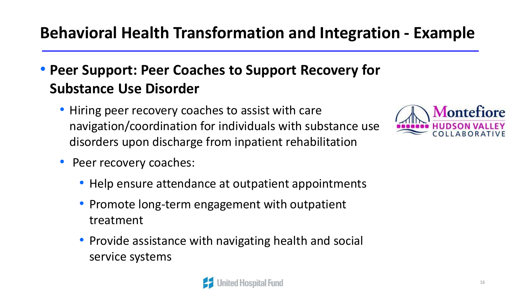### **Behavioral Health Transformation and Integration - Example**

### • **Peer Support: Peer Coaches to Support Recovery for Substance Use Disorder**

• Hiring peer recovery coaches to assist with care navigation/coordination for individuals with substance use disorders upon discharge from inpatient rehabilitation



- Peer recovery coaches:
	- Help ensure attendance at outpatient appointments
	- Promote long-term engagement with outpatient treatment
	- Provide assistance with navigating health and social service systems

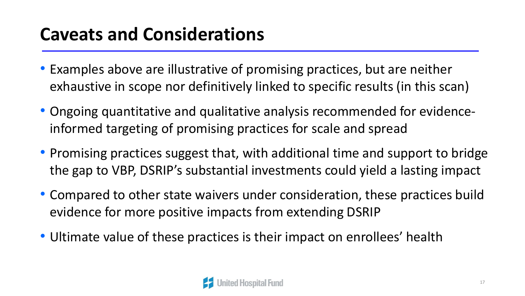## **Caveats and Considerations**

- Examples above are illustrative of promising practices, but are neither exhaustive in scope nor definitively linked to specific results (in this scan)
- Ongoing quantitative and qualitative analysis recommended for evidenceinformed targeting of promising practices for scale and spread
- Promising practices suggest that, with additional time and support to bridge the gap to VBP, DSRIP's substantial investments could yield a lasting impact
- Compared to other state waivers under consideration, these practices build evidence for more positive impacts from extending DSRIP
- Ultimate value of these practices is their impact on enrollees' health